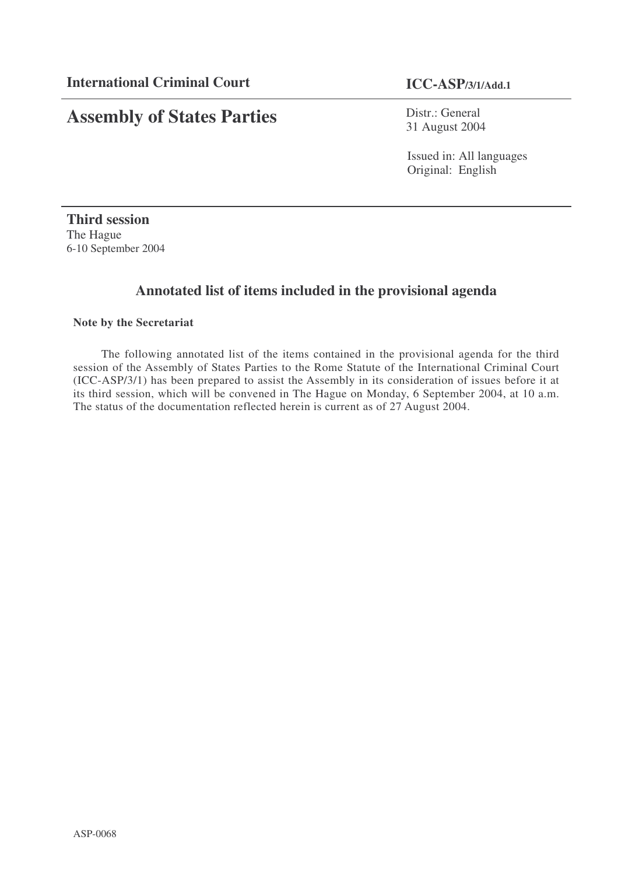# **Assembly of States Parties**

Distr.: General 31 August 2004

Issued in: All languages Original: English

**Third session** The Hague 6-10 September 2004

# **Annotated list of items included in the provisional agenda**

#### **Note by the Secretariat**

The following annotated list of the items contained in the provisional agenda for the third session of the Assembly of States Parties to the Rome Statute of the International Criminal Court (ICC-ASP/3/1) has been prepared to assist the Assembly in its consideration of issues before it at its third session, which will be convened in The Hague on Monday, 6 September 2004, at 10 a.m. The status of the documentation reflected herein is current as of 27 August 2004.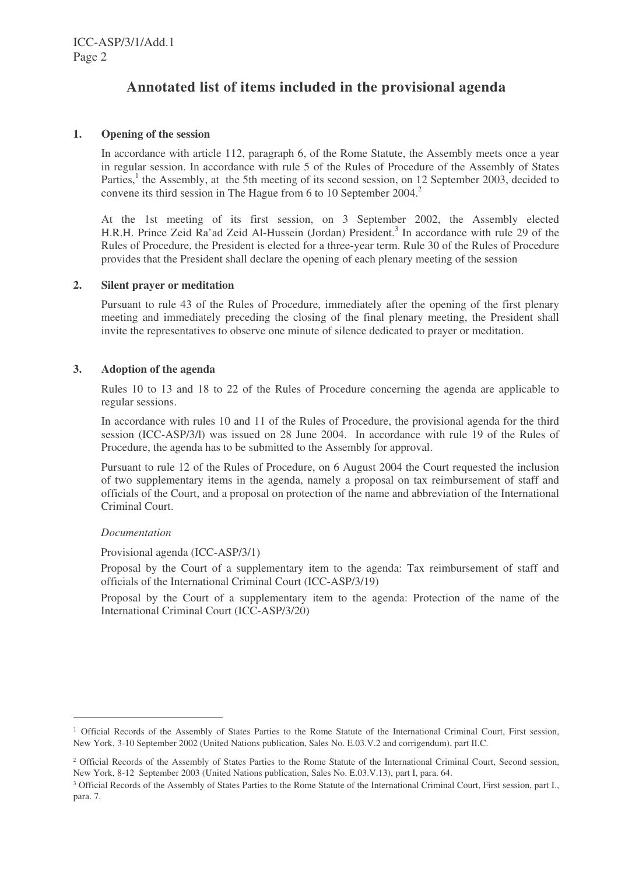# **Annotated list of items included in the provisional agenda**

#### **1. Opening of the session**

In accordance with article 112, paragraph 6, of the Rome Statute, the Assembly meets once a year in regular session. In accordance with rule 5 of the Rules of Procedure of the Assembly of States Parties,<sup>1</sup> the Assembly, at the 5th meeting of its second session, on 12 September 2003, decided to convene its third session in The Hague from 6 to 10 September 2004. 2

At the 1st meeting of its first session, on 3 September 2002, the Assembly elected H.R.H. Prince Zeid Ra'ad Zeid Al-Hussein (Jordan) President. 3 In accordance with rule 29 of the Rules of Procedure, the President is elected for a three-year term. Rule 30 of the Rules of Procedure provides that the President shall declare the opening of each plenary meeting of the session

#### **2. Silent prayer or meditation**

Pursuant to rule 43 of the Rules of Procedure, immediately after the opening of the first plenary meeting and immediately preceding the closing of the final plenary meeting, the President shall invite the representatives to observe one minute of silence dedicated to prayer or meditation.

#### **3. Adoption of the agenda**

Rules 10 to 13 and 18 to 22 of the Rules of Procedure concerning the agenda are applicable to regular sessions.

In accordance with rules 10 and 11 of the Rules of Procedure, the provisional agenda for the third session (ICC-ASP/3/l) was issued on 28 June 2004. In accordance with rule 19 of the Rules of Procedure, the agenda has to be submitted to the Assembly for approval.

Pursuant to rule 12 of the Rules of Procedure, on 6 August 2004 the Court requested the inclusion of two supplementary items in the agenda, namely a proposal on tax reimbursement of staff and officials of the Court, and a proposal on protection of the name and abbreviation of the International Criminal Court.

#### *Documentation*

Provisional agenda (ICC-ASP/3/1)

Proposal by the Court of a supplementary item to the agenda: Tax reimbursement of staff and officials of the International Criminal Court (ICC-ASP/3/19)

Proposal by the Court of a supplementary item to the agenda: Protection of the name of the International Criminal Court (ICC-ASP/3/20)

<sup>&</sup>lt;sup>1</sup> Official Records of the Assembly of States Parties to the Rome Statute of the International Criminal Court, First session, New York, 3-10 September 2002 (United Nations publication, Sales No. E.03.V.2 and corrigendum), part II.C.

<sup>&</sup>lt;sup>2</sup> Official Records of the Assembly of States Parties to the Rome Statute of the International Criminal Court, Second session, New York, 8-12 September 2003 (United Nations publication, Sales No. E.03.V.13), part I, para. 64.

<sup>&</sup>lt;sup>3</sup> Official Records of the Assembly of States Parties to the Rome Statute of the International Criminal Court, First session, part I., para. 7.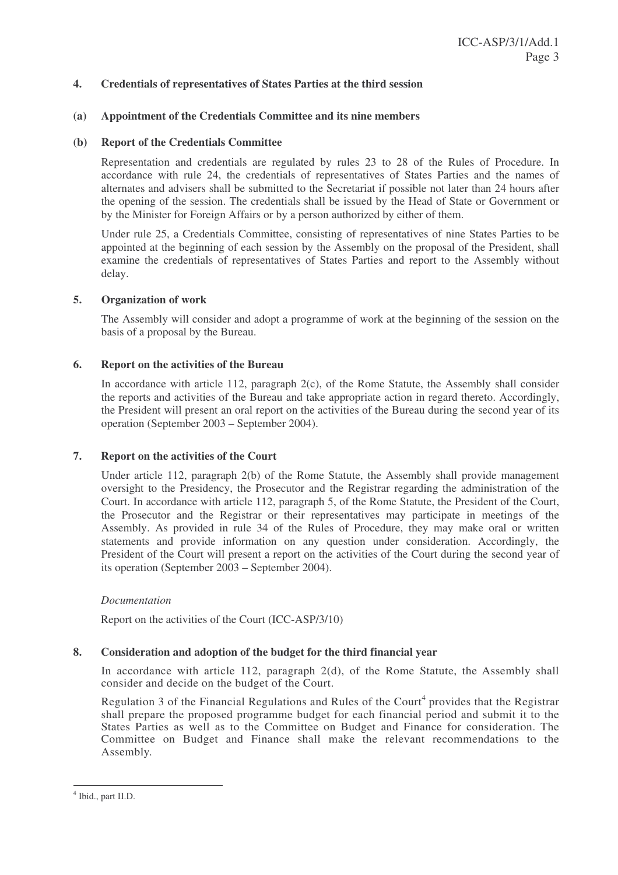#### **4. Credentials of representatives of States Parties at the third session**

#### **(a) Appointment of the Credentials Committee and its nine members**

#### **(b) Report of the Credentials Committee**

Representation and credentials are regulated by rules 23 to 28 of the Rules of Procedure. In accordance with rule 24, the credentials of representatives of States Parties and the names of alternates and advisers shall be submitted to the Secretariat if possible not later than 24 hours after the opening of the session. The credentials shall be issued by the Head of State or Government or by the Minister for Foreign Affairs or by a person authorized by either of them.

Under rule 25, a Credentials Committee, consisting of representatives of nine States Parties to be appointed at the beginning of each session by the Assembly on the proposal of the President, shall examine the credentials of representatives of States Parties and report to the Assembly without delay.

#### **5. Organization of work**

The Assembly will consider and adopt a programme of work at the beginning of the session on the basis of a proposal by the Bureau.

#### **6. Report on the activities of the Bureau**

In accordance with article 112, paragraph  $2(c)$ , of the Rome Statute, the Assembly shall consider the reports and activities of the Bureau and take appropriate action in regard thereto. Accordingly, the President will present an oral report on the activities of the Bureau during the second year of its operation (September 2003 – September 2004).

#### **7. Report on the activities of the Court**

Under article 112, paragraph 2(b) of the Rome Statute, the Assembly shall provide management oversight to the Presidency, the Prosecutor and the Registrar regarding the administration of the Court. In accordance with article 112, paragraph 5, of the Rome Statute, the President of the Court, the Prosecutor and the Registrar or their representatives may participate in meetings of the Assembly. As provided in rule 34 of the Rules of Procedure, they may make oral or written statements and provide information on any question under consideration. Accordingly, the President of the Court will present a report on the activities of the Court during the second year of its operation (September 2003 – September 2004).

#### *Documentation*

Report on the activities of the Court (ICC-ASP/3/10)

#### **8. Consideration and adoption of the budget for the third financial year**

In accordance with article 112, paragraph 2(d), of the Rome Statute, the Assembly shall consider and decide on the budget of the Court.

Regulation 3 of the Financial Regulations and Rules of the Court<sup>4</sup> provides that the Registrar shall prepare the proposed programme budget for each financial period and submit it to the States Parties as well as to the Committee on Budget and Finance for consideration. The Committee on Budget and Finance shall make the relevant recommendations to the Assembly.

<sup>4</sup> Ibid., part II.D.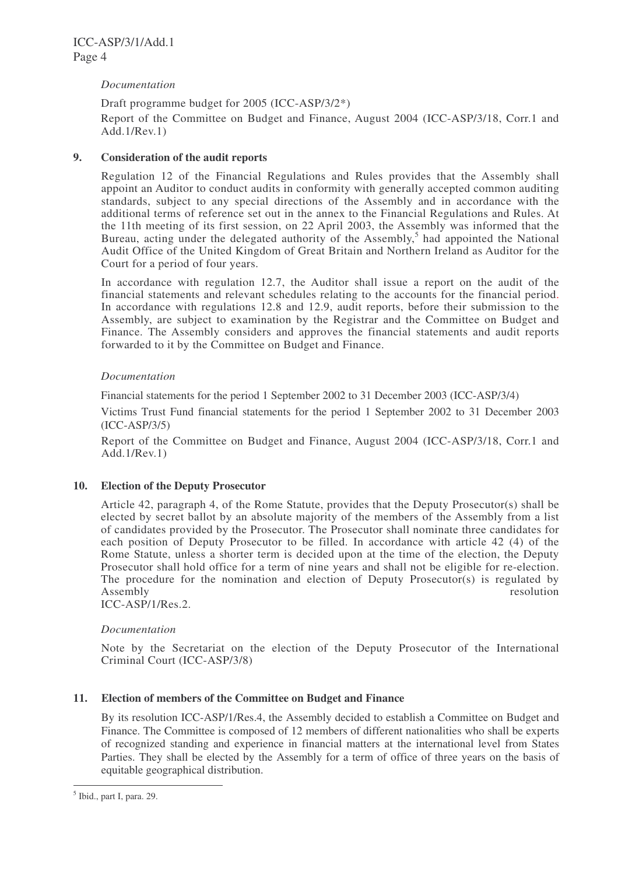#### *Documentation*

Draft programme budget for 2005 (ICC-ASP/3/2\*)

Report of the Committee on Budget and Finance, August 2004 (ICC-ASP/3/18, Corr.1 and Add.1/Rev.1)

#### **9. Consideration of the audit reports**

Regulation 12 of the Financial Regulations and Rules provides that the Assembly shall appoint an Auditor to conduct audits in conformity with generally accepted common auditing standards, subject to any special directions of the Assembly and in accordance with the additional terms of reference set out in the annex to the Financial Regulations and Rules. At the 11th meeting of its first session, on 22 April 2003, the Assembly was informed that the Bureau, acting under the delegated authority of the Assembly,<sup>5</sup> had appointed the National Audit Office of the United Kingdom of Great Britain and Northern Ireland as Auditor for the Court for a period of four years.

In accordance with regulation 12.7, the Auditor shall issue a report on the audit of the financial statements and relevant schedules relating to the accounts for the financial period. In accordance with regulations 12.8 and 12.9, audit reports, before their submission to the Assembly, are subject to examination by the Registrar and the Committee on Budget and Finance. The Assembly considers and approves the financial statements and audit reports forwarded to it by the Committee on Budget and Finance.

#### *Documentation*

Financial statements for the period 1 September 2002 to 31 December 2003 (ICC-ASP/3/4)

Victims Trust Fund financial statements for the period 1 September 2002 to 31 December 2003 (ICC-ASP/3/5)

Report of the Committee on Budget and Finance, August 2004 (ICC-ASP/3/18, Corr.1 and Add.1/Rev.1)

#### **10. Election of the Deputy Prosecutor**

Article 42, paragraph 4, of the Rome Statute, provides that the Deputy Prosecutor(s) shall be elected by secret ballot by an absolute majority of the members of the Assembly from a list of candidates provided by the Prosecutor. The Prosecutor shall nominate three candidates for each position of Deputy Prosecutor to be filled. In accordance with article 42 (4) of the Rome Statute, unless a shorter term is decided upon at the time of the election, the Deputy Prosecutor shall hold office for a term of nine years and shall not be eligible for re-election. The procedure for the nomination and election of Deputy Prosecutor(s) is regulated by Assembly resolution

ICC-ASP/1/Res.2.

#### *Documentation*

Note by the Secretariat on the election of the Deputy Prosecutor of the International Criminal Court (ICC-ASP/3/8)

### **11. Election of members of the Committee on Budget and Finance**

By its resolution ICC-ASP/1/Res.4, the Assembly decided to establish a Committee on Budget and Finance. The Committee is composed of 12 members of different nationalities who shall be experts of recognized standing and experience in financial matters at the international level from States Parties. They shall be elected by the Assembly for a term of office of three years on the basis of equitable geographical distribution.

<sup>&</sup>lt;sup>5</sup> Ibid., part I, para. 29.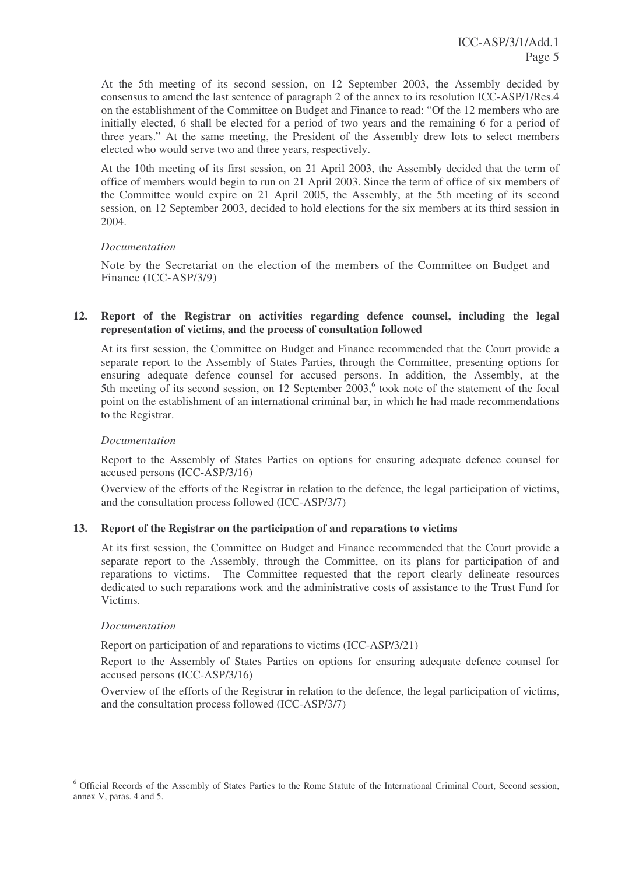At the 5th meeting of its second session, on 12 September 2003, the Assembly decided by consensus to amend the last sentence of paragraph 2 of the annex to its resolution ICC-ASP/1/Res.4 on the establishment of the Committee on Budget and Finance to read: "Of the 12 members who are initially elected, 6 shall be elected for a period of two years and the remaining 6 for a period of three years." At the same meeting, the President of the Assembly drew lots to select members elected who would serve two and three years, respectively.

At the 10th meeting of its first session, on 21 April 2003, the Assembly decided that the term of office of members would begin to run on 21 April 2003. Since the term of office of six members of the Committee would expire on 21 April 2005, the Assembly, at the 5th meeting of its second session, on 12 September 2003, decided to hold elections for the six members at its third session in 2004.

#### *Documentation*

Note by the Secretariat on the election of the members of the Committee on Budget and Finance (ICC-ASP/3/9)

#### **12. Report of the Registrar on activities regarding defence counsel, including the legal representation of victims, and the process of consultation followed**

At its first session, the Committee on Budget and Finance recommended that the Court provide a separate report to the Assembly of States Parties, through the Committee, presenting options for ensuring adequate defence counsel for accused persons. In addition, the Assembly, at the 5th meeting of its second session, on 12 September 2003,<sup>6</sup> took note of the statement of the focal point on the establishment of an international criminal bar, in which he had made recommendations to the Registrar.

#### *Documentation*

Report to the Assembly of States Parties on options for ensuring adequate defence counsel for accused persons (ICC-ASP/3/16)

Overview of the efforts of the Registrar in relation to the defence, the legal participation of victims, and the consultation process followed (ICC-ASP/3/7)

#### **13. Report of the Registrar on the participation of and reparations to victims**

At its first session, the Committee on Budget and Finance recommended that the Court provide a separate report to the Assembly, through the Committee, on its plans for participation of and reparations to victims. The Committee requested that the report clearly delineate resources dedicated to such reparations work and the administrative costs of assistance to the Trust Fund for Victims.

#### *Documentation*

Report on participation of and reparations to victims (ICC-ASP/3/21)

Report to the Assembly of States Parties on options for ensuring adequate defence counsel for accused persons (ICC-ASP/3/16)

Overview of the efforts of the Registrar in relation to the defence, the legal participation of victims, and the consultation process followed (ICC-ASP/3/7)

<sup>6</sup> Official Records of the Assembly of States Parties to the Rome Statute of the International Criminal Court, Second session, annex V, paras. 4 and 5.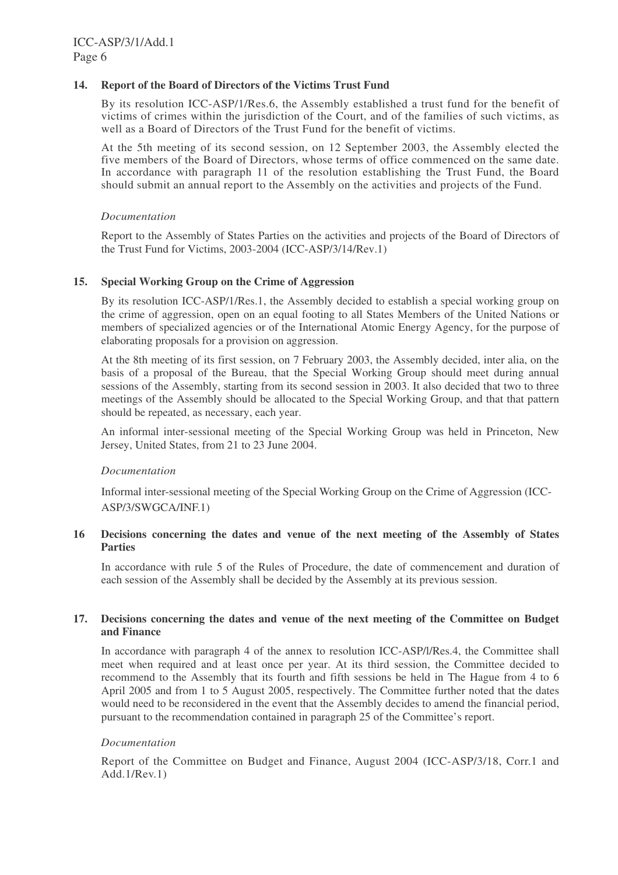#### **14. Report of the Board of Directors of the Victims Trust Fund**

By its resolution ICC-ASP/1/Res.6, the Assembly established a trust fund for the benefit of victims of crimes within the jurisdiction of the Court, and of the families of such victims, as well as a Board of Directors of the Trust Fund for the benefit of victims.

At the 5th meeting of its second session, on 12 September 2003, the Assembly elected the five members of the Board of Directors, whose terms of office commenced on the same date. In accordance with paragraph 11 of the resolution establishing the Trust Fund, the Board should submit an annual report to the Assembly on the activities and projects of the Fund.

#### *Documentation*

Report to the Assembly of States Parties on the activities and projects of the Board of Directors of the Trust Fund for Victims, 2003-2004 (ICC-ASP/3/14/Rev.1)

#### **15. Special Working Group on the Crime of Aggression**

By its resolution ICC-ASP/1/Res.1, the Assembly decided to establish a special working group on the crime of aggression, open on an equal footing to all States Members of the United Nations or members of specialized agencies or of the International Atomic Energy Agency, for the purpose of elaborating proposals for a provision on aggression.

At the 8th meeting of its first session, on 7 February 2003, the Assembly decided, inter alia, on the basis of a proposal of the Bureau, that the Special Working Group should meet during annual sessions of the Assembly, starting from its second session in 2003. It also decided that two to three meetings of the Assembly should be allocated to the Special Working Group, and that that pattern should be repeated, as necessary, each year.

An informal inter-sessional meeting of the Special Working Group was held in Princeton, New Jersey, United States, from 21 to 23 June 2004.

#### *Documentation*

Informal inter-sessional meeting of the Special Working Group on the Crime of Aggression (ICC-ASP/3/SWGCA/INF.1)

#### **16 Decisions concerning the dates and venue of the next meeting of the Assembly of States Parties**

In accordance with rule 5 of the Rules of Procedure, the date of commencement and duration of each session of the Assembly shall be decided by the Assembly at its previous session.

#### **17. Decisions concerning the dates and venue of the next meeting of the Committee on Budget and Finance**

In accordance with paragraph 4 of the annex to resolution ICC-ASP/l/Res.4, the Committee shall meet when required and at least once per year. At its third session, the Committee decided to recommend to the Assembly that its fourth and fifth sessions be held in The Hague from 4 to 6 April 2005 and from 1 to 5 August 2005, respectively. The Committee further noted that the dates would need to be reconsidered in the event that the Assembly decides to amend the financial period, pursuant to the recommendation contained in paragraph 25 of the Committee's report.

#### *Documentation*

Report of the Committee on Budget and Finance, August 2004 (ICC-ASP/3/18, Corr.1 and Add.1/Rev.1)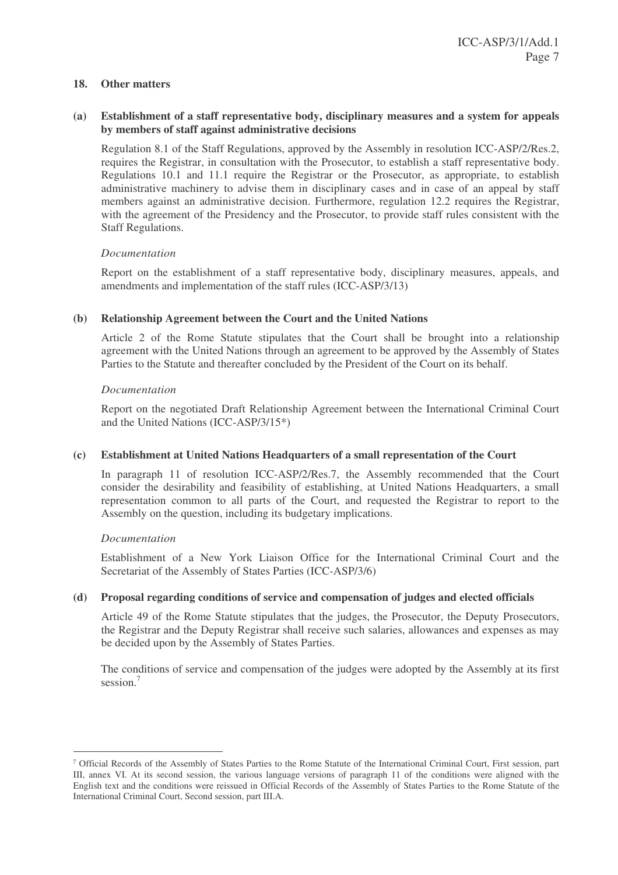#### **18. Other matters**

#### **(a) Establishment of a staff representative body, disciplinary measures and a system for appeals by members of staff against administrative decisions**

Regulation 8.1 of the Staff Regulations, approved by the Assembly in resolution ICC-ASP/2/Res.2, requires the Registrar, in consultation with the Prosecutor, to establish a staff representative body. Regulations 10.1 and 11.1 require the Registrar or the Prosecutor, as appropriate, to establish administrative machinery to advise them in disciplinary cases and in case of an appeal by staff members against an administrative decision. Furthermore, regulation 12.2 requires the Registrar, with the agreement of the Presidency and the Prosecutor, to provide staff rules consistent with the Staff Regulations.

#### *Documentation*

Report on the establishment of a staff representative body, disciplinary measures, appeals, and amendments and implementation of the staff rules (ICC-ASP/3/13)

#### **(b) Relationship Agreement between the Court and the United Nations**

Article 2 of the Rome Statute stipulates that the Court shall be brought into a relationship agreement with the United Nations through an agreement to be approved by the Assembly of States Parties to the Statute and thereafter concluded by the President of the Court on its behalf.

#### *Documentation*

Report on the negotiated Draft Relationship Agreement between the International Criminal Court and the United Nations (ICC-ASP/3/15\*)

#### **(c) Establishment at United Nations Headquarters of a small representation of the Court**

In paragraph 11 of resolution ICC-ASP/2/Res.7, the Assembly recommended that the Court consider the desirability and feasibility of establishing, at United Nations Headquarters, a small representation common to all parts of the Court, and requested the Registrar to report to the Assembly on the question, including its budgetary implications.

#### *Documentation*

Establishment of a New York Liaison Office for the International Criminal Court and the Secretariat of the Assembly of States Parties (ICC-ASP/3/6)

#### **(d) Proposal regarding conditions of service and compensation of judges and elected officials**

Article 49 of the Rome Statute stipulates that the judges, the Prosecutor, the Deputy Prosecutors, the Registrar and the Deputy Registrar shall receive such salaries, allowances and expenses as may be decided upon by the Assembly of States Parties.

The conditions of service and compensation of the judges were adopted by the Assembly at its first session.<sup>7</sup>

Official Records of the Assembly of States Parties to the Rome Statute of the International Criminal Court, First session, part III, annex VI. At its second session, the various language versions of paragraph 11 of the conditions were aligned with the English text and the conditions were reissued in Official Records of the Assembly of States Parties to the Rome Statute of the International Criminal Court, Second session, part III.A.